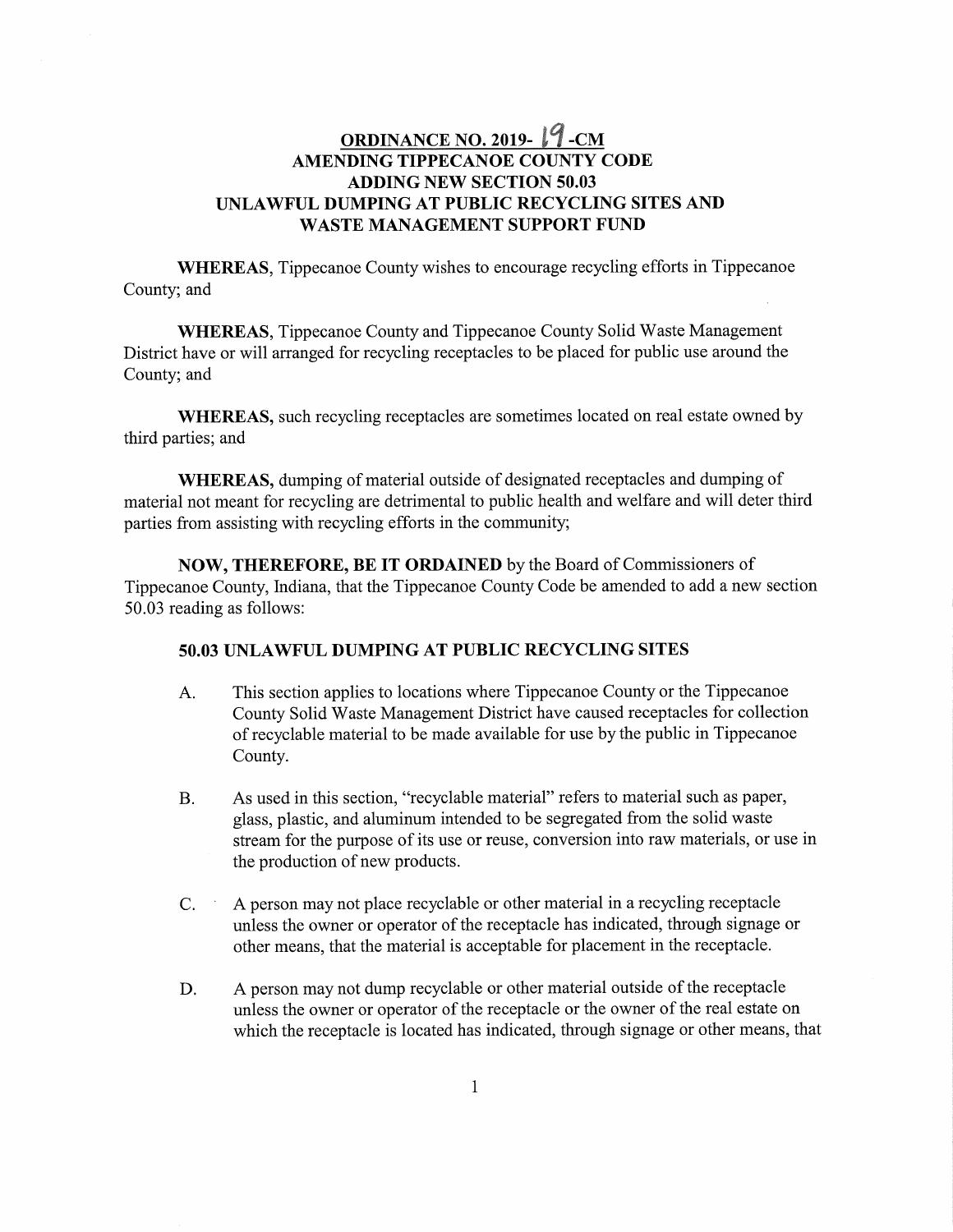## ORDINANCE NO. 2019- $19$ -CM AMENDING TIPPECANOE COUNTY CODE ADDING NEW SECTION 50.03 50.03UNLAWFUL DUMPING AT PUBLIC RECYCLING SITES AND WASTE MANAGEMENT SUPPORT FUND WASTE

WHEREAS, Tippecanoe County wishes to encourage recycling efforts in Tippecanoe County; and

WHEREAS, Tippecanoe County and Tippecanoe County Solid Waste Management District have or will arranged for recycling receptacles to be placed for public use around the County; and

WHEREAS, such recycling receptacles are sometimes located on real estate owned by third parties; and

WHEREAS, dumping of material outside of designated receptacles and dumping of material not meant for recycling are detrimental to public health and welfare and will deter third parties from assisting with recycling efforts in the community;

NOW, THEREFORE, BE IT ORDAINED by the Board of Commissioners of Tippecanoe County, Indiana, that the Tippecanoe County Code be amended to add a new section 50.03 reading as follows:

## 50.03 UNLAWFUL DUMPING AT PUBLIC RECYCLING SITES

- A. This section applies to locations Where Tippecanoe County or the Tippecanoe County Solid Waste Management District have caused receptacles for collection Of recyclable material to be made available for use by the public in Tippecanoe County.
- B. As used in this section, "recyclable material" refers to material such as paper, glass, plastic, and aluminum intended to be segregated from the solid waste stream for the purpose of its use or reuse, conversion into raw materials, or use in the production of new products.
- C. ' <sup>A</sup> person may not place recyclable or other material in <sup>a</sup> recycling receptacle unless the owner or operator of the receptacle has indicated, through signage or other means, that the material is acceptable for placement in the receptacle.
- D. A person may not dump recyclable or other material outside of the receptacle unless the owner or operator of the receptacle or the owner of the real estate on which the receptacle is located has indicated, through signage or other means, that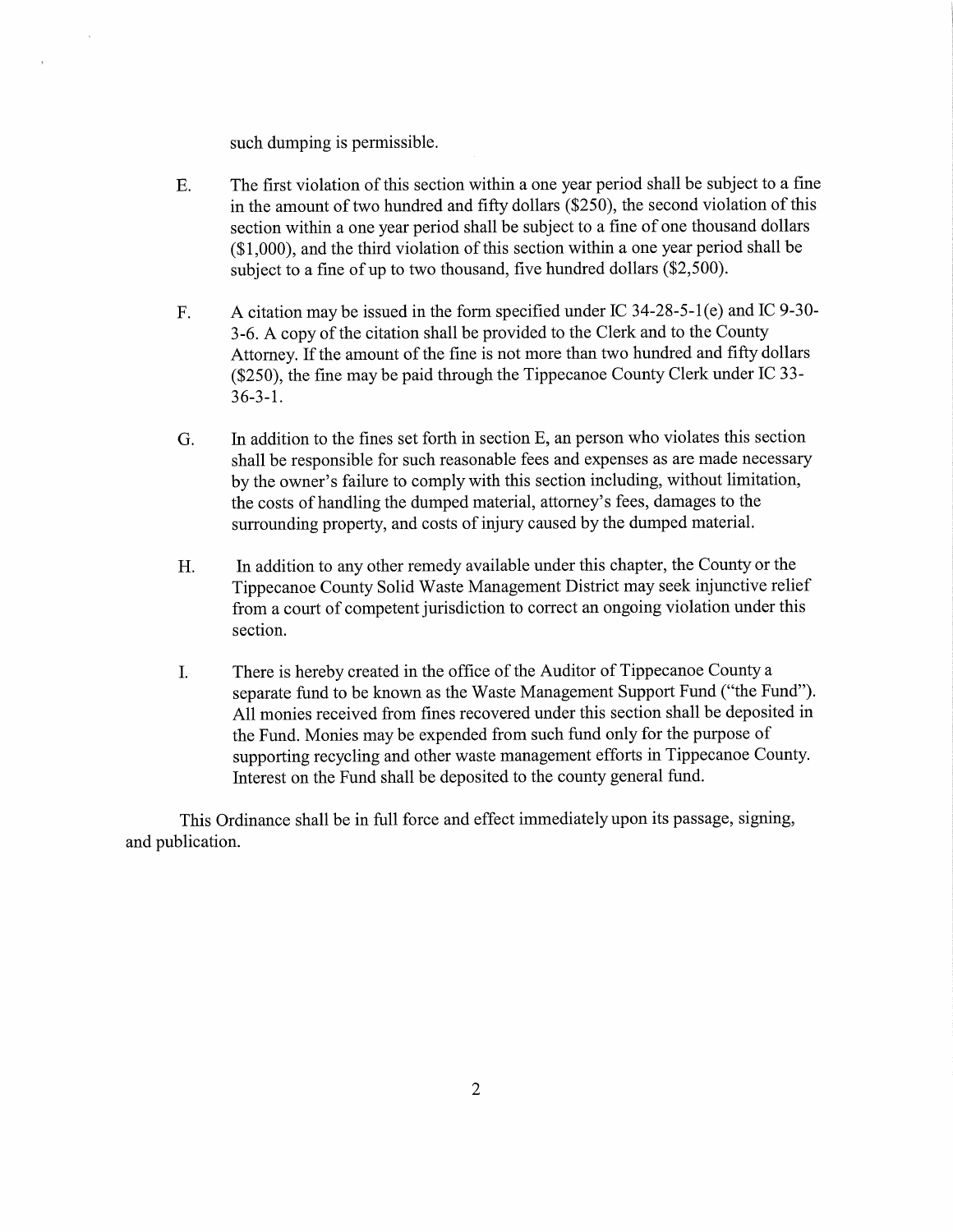such dumping is permissible.

- E. The first violation of this section within <sup>a</sup> one year period shall be subject to <sup>a</sup> fine in the amount of two hundred and fifty dollars (\$250), the second violation of this section within <sup>a</sup> one year period shall be subject to <sup>a</sup> fine of one thousand dollars (\$1,000), and the third violation of this section within <sup>a</sup> one year period shall be subject to <sup>a</sup> fine of up to two thousand, five hundred dollars (\$2,500).
- F. <sup>A</sup> citation may be issued in the form specified under IC 34—28-5-l(e) and IC 9-30- 3—6. <sup>A</sup> copy of the citation shall be provided to the Clerk and to the County Attorney. If the amount of the fine is not more than two hundred and fifty dollars (\$250), the fine may be paid through the Tippecanoe County Clerk under IC 33- 36-3-1. 36-3-1.
- G. In addition to the fines set forth in section B, an person who violates this section shall be responsible for such reasonable fees and expenses as are made necessary by the owner's failure to comply with this section including, without limitation, the costs of handling the dumped material, attorney's fees, damages to the surrounding property, and costs of injury caused by the dumped material.
- H. In addition to any other remedy available under this chapter, the County or the Tippecanoe County Solid Waste Management District may seek injunctive relief from <sup>a</sup> court of competent jurisdiction to correct an ongoing violation under this section. section.
- I. There is hereby created in the office of the Auditor of Tippecanoe County <sup>a</sup> separate fund to be known as the Waste Management Support Fund ("the Fund"). All monies received from fines recovered under this section shall be deposited in the Fund. Monies may be expended from such fund only for the purpose of supporting recycling and other waste management efforts in Tippecanoe County. Interest on the Fund shall be deposited to the county general fund.

This Ordinance shall be in full force and effect immediately upon its passage, signing, and publication.